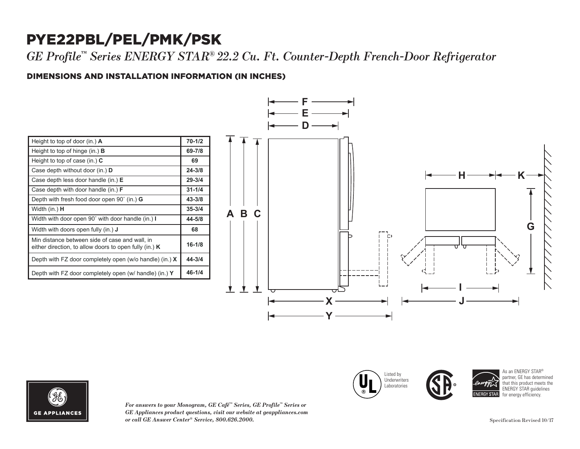## PYE22PBL/PEL/PMK/PSK

*GE Profile™ Series ENERGY STAR® 22.2 Cu. Ft. Counter-Depth French-Door Refrigerator*

## DIMENSIONS AND INSTALLATION INFORMATION (IN INCHES) **I**

| Height to top of door (in.) $\bf{A}$                                                                       | $70 - 1/2$ |
|------------------------------------------------------------------------------------------------------------|------------|
| Height to top of hinge (in.) $\bf{B}$                                                                      | 69-7/8     |
| Height to top of case (in.) $C$                                                                            | 69         |
| Case depth without door (in.) D                                                                            | $24 - 3/8$ |
| Case depth less door handle $(in.)$ E                                                                      | $29 - 3/4$ |
| Case depth with door handle (in.) $F$                                                                      | $31 - 1/4$ |
| Depth with fresh food door open $90^{\circ}$ (in.) G                                                       | $43 - 3/8$ |
| Width (in.) <b>H</b>                                                                                       | $35 - 3/4$ |
| Width with door open 90° with door handle (in.) I                                                          | 44-5/8     |
| Width with doors open fully (in.) <b>J</b>                                                                 | 68         |
| Min distance between side of case and wall, in<br>either direction, to allow doors to open fully (in.) $K$ | $16 - 1/8$ |
| Depth with FZ door completely open (w/o handle) (in.) $X$                                                  | $44 - 3/4$ |
| Depth with FZ door completely open (w/ handle) (in.) Y                                                     | $46 - 1/4$ |





*For answers to your Monogram, GE Café™ Series, GE Profile™ Series or*   $GE$  *Appliances product questions, visit our website at geappliances.com or call GE Answer Center® Service, 800.626.2000.* Specification Revised 10/17

Listed by **Underwriters** Laboratories Case depth without door (in.) **D** Case depth less door handle (in.) **E** Case depth with door handle (in.) **F**